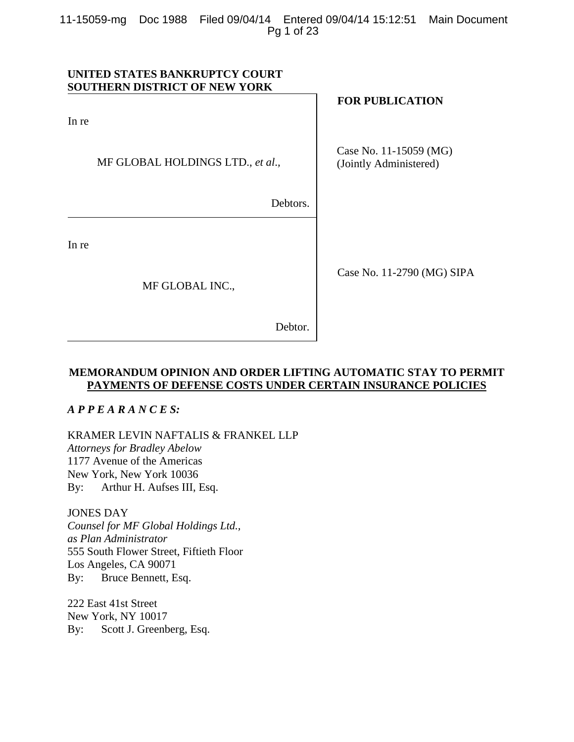11-15059-mg Doc 1988 Filed 09/04/14 Entered 09/04/14 15:12:51 Main Document Pg 1 of 23

## **UNITED STATES BANKRUPTCY COURT SOUTHERN DISTRICT OF NEW YORK**

In re

MF GLOBAL HOLDINGS LTD., *et al*.*,* 

Debtors.

In re

MF GLOBAL INC.,

## **FOR PUBLICATION**

Case No. 11-15059 (MG) (Jointly Administered)

Case No. 11-2790 (MG) SIPA

Debtor.

## **MEMORANDUM OPINION AND ORDER LIFTING AUTOMATIC STAY TO PERMIT PAYMENTS OF DEFENSE COSTS UNDER CERTAIN INSURANCE POLICIES**

## *A P P E A R A N C E S:*

KRAMER LEVIN NAFTALIS & FRANKEL LLP *Attorneys for Bradley Abelow*  1177 Avenue of the Americas New York, New York 10036 By: Arthur H. Aufses III, Esq.

#### JONES DAY

*Counsel for MF Global Holdings Ltd., as Plan Administrator*  555 South Flower Street, Fiftieth Floor Los Angeles, CA 90071 By: Bruce Bennett, Esq.

222 East 41st Street New York, NY 10017 By: Scott J. Greenberg, Esq.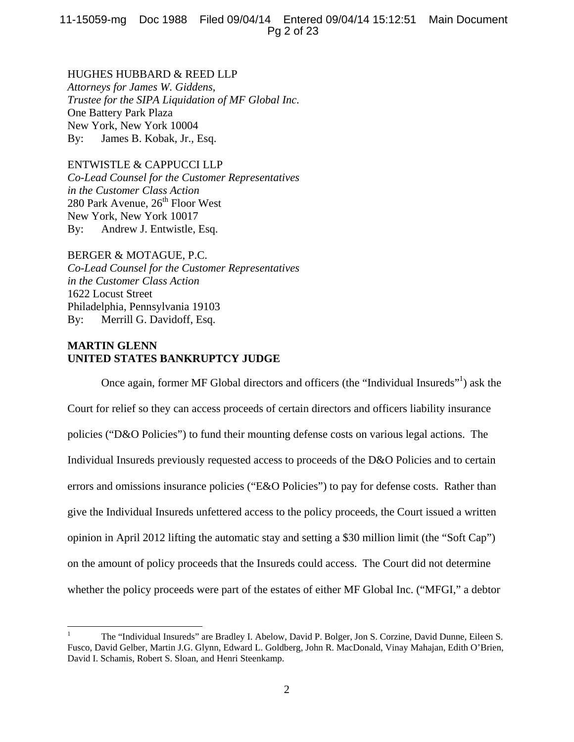11-15059-mg Doc 1988 Filed 09/04/14 Entered 09/04/14 15:12:51 Main Document Pg 2 of 23

HUGHES HUBBARD & REED LLP *Attorneys for James W. Giddens, Trustee for the SIPA Liquidation of MF Global Inc.*  One Battery Park Plaza New York, New York 10004 By: James B. Kobak, Jr., Esq.

ENTWISTLE & CAPPUCCI LLP *Co-Lead Counsel for the Customer Representatives in the Customer Class Action*  280 Park Avenue,  $26<sup>th</sup>$  Floor West New York, New York 10017 By: Andrew J. Entwistle, Esq.

BERGER & MOTAGUE, P.C. *Co-Lead Counsel for the Customer Representatives in the Customer Class Action*  1622 Locust Street Philadelphia, Pennsylvania 19103 By: Merrill G. Davidoff, Esq.

# **MARTIN GLENN UNITED STATES BANKRUPTCY JUDGE**

Once again, former MF Global directors and officers (the "Individual Insureds"<sup>1</sup>) ask the Court for relief so they can access proceeds of certain directors and officers liability insurance policies ("D&O Policies") to fund their mounting defense costs on various legal actions. The Individual Insureds previously requested access to proceeds of the D&O Policies and to certain errors and omissions insurance policies ("E&O Policies") to pay for defense costs. Rather than give the Individual Insureds unfettered access to the policy proceeds, the Court issued a written opinion in April 2012 lifting the automatic stay and setting a \$30 million limit (the "Soft Cap") on the amount of policy proceeds that the Insureds could access. The Court did not determine whether the policy proceeds were part of the estates of either MF Global Inc. ("MFGI," a debtor

<sup>1</sup> The "Individual Insureds" are Bradley I. Abelow, David P. Bolger, Jon S. Corzine, David Dunne, Eileen S. Fusco, David Gelber, Martin J.G. Glynn, Edward L. Goldberg, John R. MacDonald, Vinay Mahajan, Edith O'Brien, David I. Schamis, Robert S. Sloan, and Henri Steenkamp.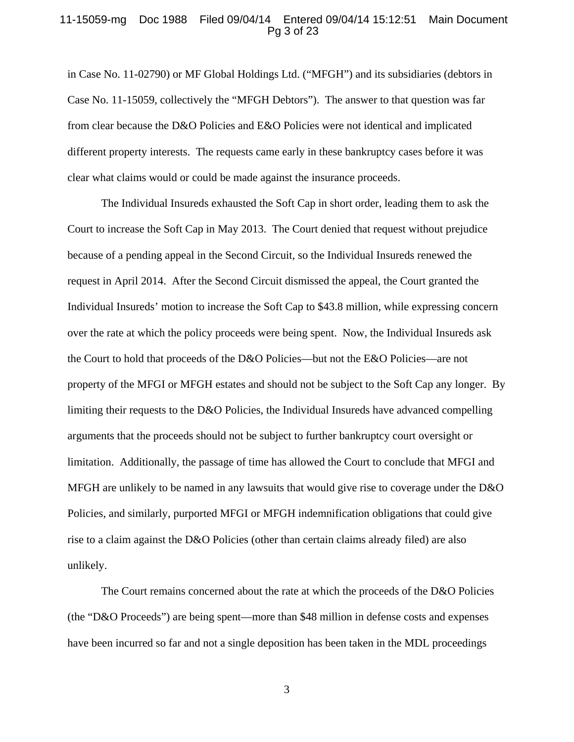### 11-15059-mg Doc 1988 Filed 09/04/14 Entered 09/04/14 15:12:51 Main Document Pg 3 of 23

in Case No. 11-02790) or MF Global Holdings Ltd. ("MFGH") and its subsidiaries (debtors in Case No. 11-15059, collectively the "MFGH Debtors"). The answer to that question was far from clear because the D&O Policies and E&O Policies were not identical and implicated different property interests. The requests came early in these bankruptcy cases before it was clear what claims would or could be made against the insurance proceeds.

The Individual Insureds exhausted the Soft Cap in short order, leading them to ask the Court to increase the Soft Cap in May 2013. The Court denied that request without prejudice because of a pending appeal in the Second Circuit, so the Individual Insureds renewed the request in April 2014. After the Second Circuit dismissed the appeal, the Court granted the Individual Insureds' motion to increase the Soft Cap to \$43.8 million, while expressing concern over the rate at which the policy proceeds were being spent. Now, the Individual Insureds ask the Court to hold that proceeds of the D&O Policies—but not the E&O Policies—are not property of the MFGI or MFGH estates and should not be subject to the Soft Cap any longer. By limiting their requests to the D&O Policies, the Individual Insureds have advanced compelling arguments that the proceeds should not be subject to further bankruptcy court oversight or limitation. Additionally, the passage of time has allowed the Court to conclude that MFGI and MFGH are unlikely to be named in any lawsuits that would give rise to coverage under the D&O Policies, and similarly, purported MFGI or MFGH indemnification obligations that could give rise to a claim against the D&O Policies (other than certain claims already filed) are also unlikely.

The Court remains concerned about the rate at which the proceeds of the D&O Policies (the "D&O Proceeds") are being spent—more than \$48 million in defense costs and expenses have been incurred so far and not a single deposition has been taken in the MDL proceedings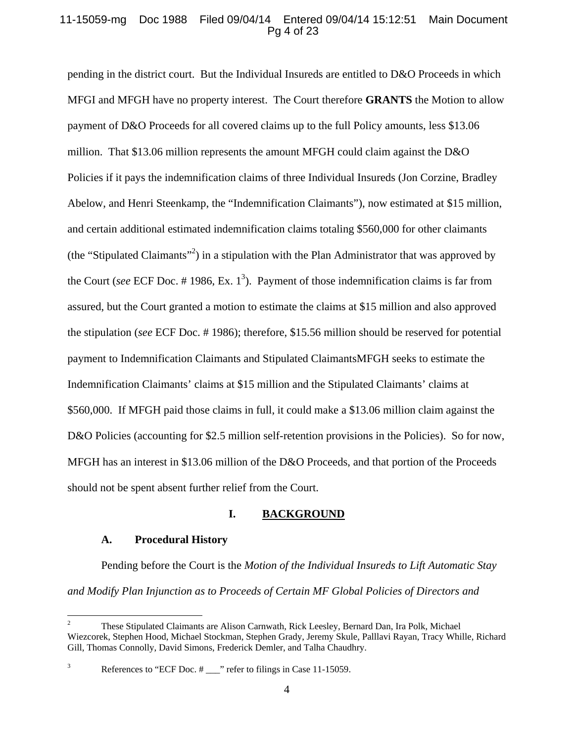## 11-15059-mg Doc 1988 Filed 09/04/14 Entered 09/04/14 15:12:51 Main Document Pg 4 of 23

pending in the district court. But the Individual Insureds are entitled to D&O Proceeds in which MFGI and MFGH have no property interest. The Court therefore **GRANTS** the Motion to allow payment of D&O Proceeds for all covered claims up to the full Policy amounts, less \$13.06 million. That \$13.06 million represents the amount MFGH could claim against the D&O Policies if it pays the indemnification claims of three Individual Insureds (Jon Corzine, Bradley Abelow, and Henri Steenkamp, the "Indemnification Claimants"), now estimated at \$15 million, and certain additional estimated indemnification claims totaling \$560,000 for other claimants (the "Stipulated Claimants"<sup>2</sup>) in a stipulation with the Plan Administrator that was approved by the Court (*see* ECF Doc.  $\#$  1986, Ex. 1<sup>3</sup>). Payment of those indemnification claims is far from assured, but the Court granted a motion to estimate the claims at \$15 million and also approved the stipulation (*see* ECF Doc. # 1986); therefore, \$15.56 million should be reserved for potential payment to Indemnification Claimants and Stipulated ClaimantsMFGH seeks to estimate the Indemnification Claimants' claims at \$15 million and the Stipulated Claimants' claims at \$560,000. If MFGH paid those claims in full, it could make a \$13.06 million claim against the D&O Policies (accounting for \$2.5 million self-retention provisions in the Policies). So for now, MFGH has an interest in \$13.06 million of the D&O Proceeds, and that portion of the Proceeds should not be spent absent further relief from the Court.

## **I. BACKGROUND**

## **A. Procedural History**

Pending before the Court is the *Motion of the Individual Insureds to Lift Automatic Stay and Modify Plan Injunction as to Proceeds of Certain MF Global Policies of Directors and* 

 2 These Stipulated Claimants are Alison Carnwath, Rick Leesley, Bernard Dan, Ira Polk, Michael Wiezcorek, Stephen Hood, Michael Stockman, Stephen Grady, Jeremy Skule, Palllavi Rayan, Tracy Whille, Richard Gill, Thomas Connolly, David Simons, Frederick Demler, and Talha Chaudhry.

<sup>3</sup> References to "ECF Doc. # \_\_\_" refer to filings in Case 11-15059.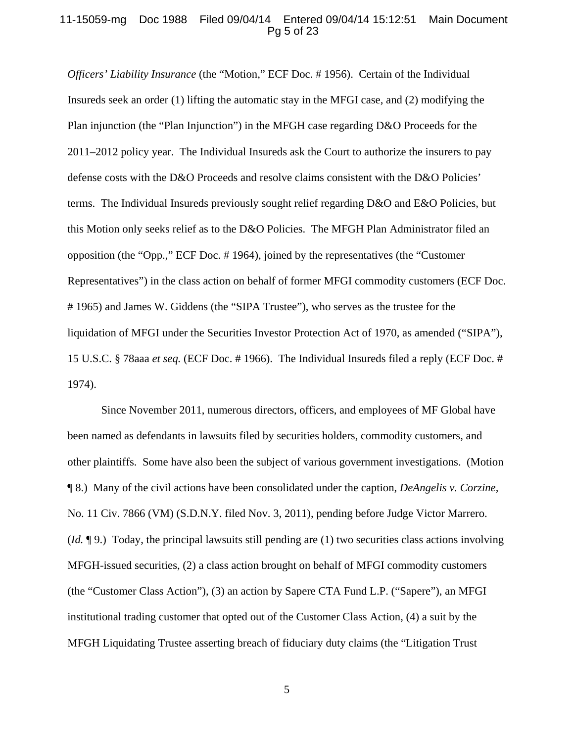### 11-15059-mg Doc 1988 Filed 09/04/14 Entered 09/04/14 15:12:51 Main Document Pg 5 of 23

*Officers' Liability Insurance* (the "Motion," ECF Doc. # 1956). Certain of the Individual Insureds seek an order (1) lifting the automatic stay in the MFGI case, and (2) modifying the Plan injunction (the "Plan Injunction") in the MFGH case regarding D&O Proceeds for the 2011–2012 policy year. The Individual Insureds ask the Court to authorize the insurers to pay defense costs with the D&O Proceeds and resolve claims consistent with the D&O Policies' terms. The Individual Insureds previously sought relief regarding D&O and E&O Policies, but this Motion only seeks relief as to the D&O Policies. The MFGH Plan Administrator filed an opposition (the "Opp.," ECF Doc. # 1964), joined by the representatives (the "Customer Representatives") in the class action on behalf of former MFGI commodity customers (ECF Doc. # 1965) and James W. Giddens (the "SIPA Trustee"), who serves as the trustee for the liquidation of MFGI under the Securities Investor Protection Act of 1970, as amended ("SIPA"), 15 U.S.C. § 78aaa *et seq.* (ECF Doc. # 1966). The Individual Insureds filed a reply (ECF Doc. # 1974).

Since November 2011, numerous directors, officers, and employees of MF Global have been named as defendants in lawsuits filed by securities holders, commodity customers, and other plaintiffs. Some have also been the subject of various government investigations. (Motion ¶ 8.) Many of the civil actions have been consolidated under the caption, *DeAngelis v. Corzine,*  No. 11 Civ. 7866 (VM) (S.D.N.Y. filed Nov. 3, 2011), pending before Judge Victor Marrero. (*Id.* ¶ 9.) Today, the principal lawsuits still pending are (1) two securities class actions involving MFGH-issued securities, (2) a class action brought on behalf of MFGI commodity customers (the "Customer Class Action"), (3) an action by Sapere CTA Fund L.P. ("Sapere"), an MFGI institutional trading customer that opted out of the Customer Class Action, (4) a suit by the MFGH Liquidating Trustee asserting breach of fiduciary duty claims (the "Litigation Trust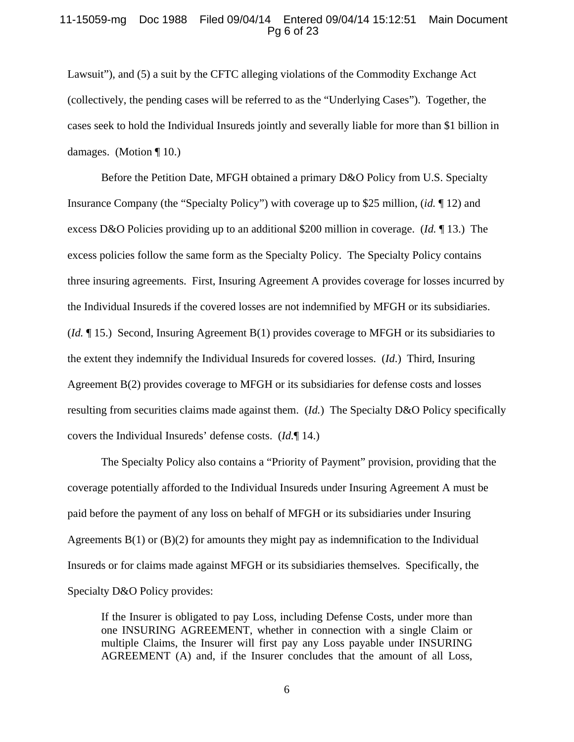### 11-15059-mg Doc 1988 Filed 09/04/14 Entered 09/04/14 15:12:51 Main Document Pg 6 of 23

Lawsuit"), and (5) a suit by the CFTC alleging violations of the Commodity Exchange Act (collectively, the pending cases will be referred to as the "Underlying Cases"). Together, the cases seek to hold the Individual Insureds jointly and severally liable for more than \$1 billion in damages. (Motion ¶ 10.)

Before the Petition Date, MFGH obtained a primary D&O Policy from U.S. Specialty Insurance Company (the "Specialty Policy") with coverage up to \$25 million, (*id.* ¶ 12) and excess D&O Policies providing up to an additional \$200 million in coverage. (*Id.* ¶ 13.) The excess policies follow the same form as the Specialty Policy. The Specialty Policy contains three insuring agreements. First, Insuring Agreement A provides coverage for losses incurred by the Individual Insureds if the covered losses are not indemnified by MFGH or its subsidiaries. (*Id.* ¶ 15.) Second, Insuring Agreement B(1) provides coverage to MFGH or its subsidiaries to the extent they indemnify the Individual Insureds for covered losses. (*Id*.) Third, Insuring Agreement B(2) provides coverage to MFGH or its subsidiaries for defense costs and losses resulting from securities claims made against them. (*Id.*) The Specialty D&O Policy specifically covers the Individual Insureds' defense costs. (*Id.*¶ 14.)

The Specialty Policy also contains a "Priority of Payment" provision, providing that the coverage potentially afforded to the Individual Insureds under Insuring Agreement A must be paid before the payment of any loss on behalf of MFGH or its subsidiaries under Insuring Agreements  $B(1)$  or  $(B)(2)$  for amounts they might pay as indemnification to the Individual Insureds or for claims made against MFGH or its subsidiaries themselves. Specifically, the Specialty D&O Policy provides:

If the Insurer is obligated to pay Loss, including Defense Costs, under more than one INSURING AGREEMENT, whether in connection with a single Claim or multiple Claims, the Insurer will first pay any Loss payable under INSURING AGREEMENT (A) and, if the Insurer concludes that the amount of all Loss,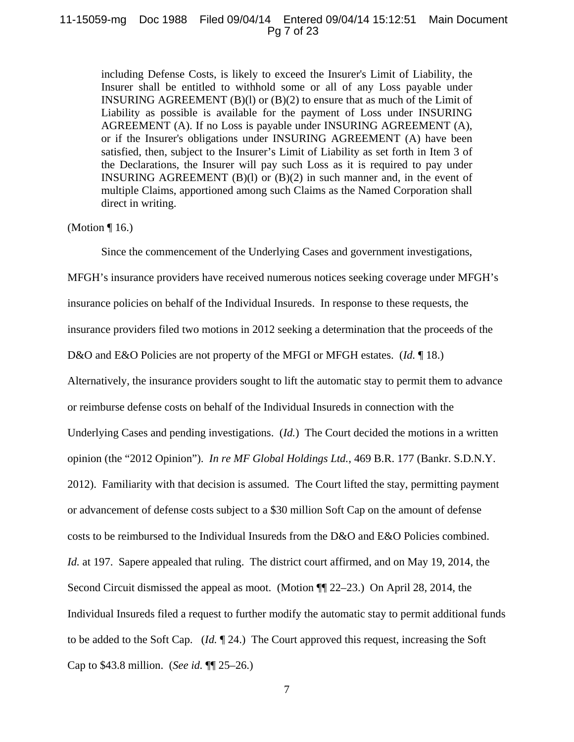#### 11-15059-mg Doc 1988 Filed 09/04/14 Entered 09/04/14 15:12:51 Main Document Pg 7 of 23

including Defense Costs, is likely to exceed the Insurer's Limit of Liability, the Insurer shall be entitled to withhold some or all of any Loss payable under INSURING AGREEMENT  $(B)(1)$  or  $(B)(2)$  to ensure that as much of the Limit of Liability as possible is available for the payment of Loss under INSURING AGREEMENT (A). If no Loss is payable under INSURING AGREEMENT (A), or if the Insurer's obligations under INSURING AGREEMENT (A) have been satisfied, then, subject to the Insurer's Limit of Liability as set forth in Item 3 of the Declarations, the Insurer will pay such Loss as it is required to pay under INSURING AGREEMENT  $(B)(1)$  or  $(B)(2)$  in such manner and, in the event of multiple Claims, apportioned among such Claims as the Named Corporation shall direct in writing.

## (Motion ¶ 16.)

Since the commencement of the Underlying Cases and government investigations,

MFGH's insurance providers have received numerous notices seeking coverage under MFGH's insurance policies on behalf of the Individual Insureds. In response to these requests, the insurance providers filed two motions in 2012 seeking a determination that the proceeds of the D&O and E&O Policies are not property of the MFGI or MFGH estates. (*Id.* 18.) Alternatively, the insurance providers sought to lift the automatic stay to permit them to advance or reimburse defense costs on behalf of the Individual Insureds in connection with the Underlying Cases and pending investigations. (*Id.*) The Court decided the motions in a written opinion (the "2012 Opinion"). *In re MF Global Holdings Ltd.*, 469 B.R. 177 (Bankr. S.D.N.Y. 2012). Familiarity with that decision is assumed. The Court lifted the stay, permitting payment or advancement of defense costs subject to a \$30 million Soft Cap on the amount of defense costs to be reimbursed to the Individual Insureds from the D&O and E&O Policies combined. *Id.* at 197. Sapere appealed that ruling. The district court affirmed, and on May 19, 2014, the Second Circuit dismissed the appeal as moot. (Motion ¶¶ 22–23.) On April 28, 2014, the Individual Insureds filed a request to further modify the automatic stay to permit additional funds to be added to the Soft Cap. (*Id.* ¶ 24.) The Court approved this request, increasing the Soft Cap to \$43.8 million. (*See id.* ¶¶ 25–26.)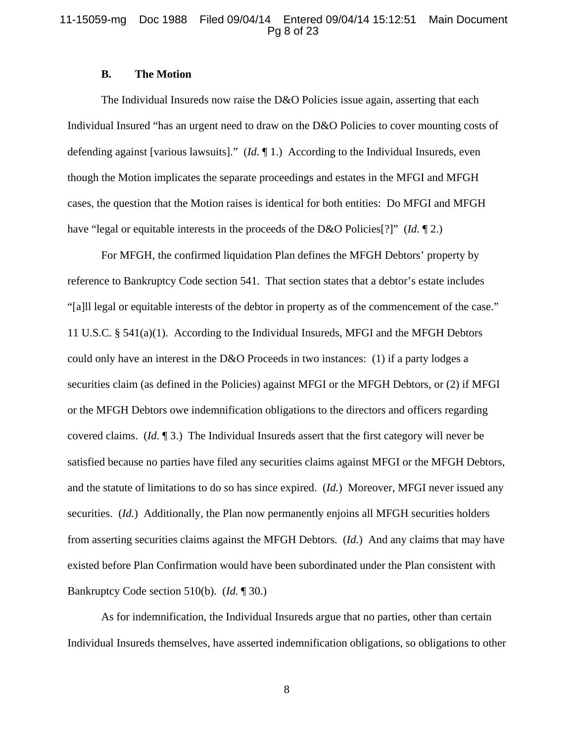## 11-15059-mg Doc 1988 Filed 09/04/14 Entered 09/04/14 15:12:51 Main Document Pg 8 of 23

## **B. The Motion**

The Individual Insureds now raise the D&O Policies issue again, asserting that each Individual Insured "has an urgent need to draw on the D&O Policies to cover mounting costs of defending against [various lawsuits]." (*Id.* ¶ 1.) According to the Individual Insureds, even though the Motion implicates the separate proceedings and estates in the MFGI and MFGH cases, the question that the Motion raises is identical for both entities: Do MFGI and MFGH have "legal or equitable interests in the proceeds of the D&O Policies[?]" (*Id.* ¶ 2.)

For MFGH, the confirmed liquidation Plan defines the MFGH Debtors' property by reference to Bankruptcy Code section 541. That section states that a debtor's estate includes "[a]ll legal or equitable interests of the debtor in property as of the commencement of the case." 11 U.S.C. § 541(a)(1). According to the Individual Insureds, MFGI and the MFGH Debtors could only have an interest in the D&O Proceeds in two instances: (1) if a party lodges a securities claim (as defined in the Policies) against MFGI or the MFGH Debtors, or (2) if MFGI or the MFGH Debtors owe indemnification obligations to the directors and officers regarding covered claims. (*Id.* ¶ 3.) The Individual Insureds assert that the first category will never be satisfied because no parties have filed any securities claims against MFGI or the MFGH Debtors, and the statute of limitations to do so has since expired. (*Id.*) Moreover, MFGI never issued any securities. (*Id.*) Additionally, the Plan now permanently enjoins all MFGH securities holders from asserting securities claims against the MFGH Debtors. (*Id.*) And any claims that may have existed before Plan Confirmation would have been subordinated under the Plan consistent with Bankruptcy Code section 510(b). (*Id.* ¶ 30.)

As for indemnification, the Individual Insureds argue that no parties, other than certain Individual Insureds themselves, have asserted indemnification obligations, so obligations to other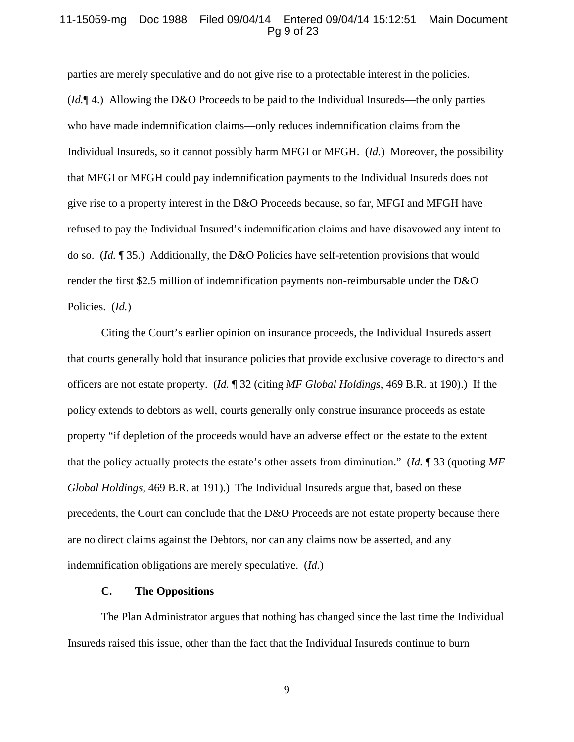#### 11-15059-mg Doc 1988 Filed 09/04/14 Entered 09/04/14 15:12:51 Main Document Pg 9 of 23

parties are merely speculative and do not give rise to a protectable interest in the policies. (*Id.*¶ 4.) Allowing the D&O Proceeds to be paid to the Individual Insureds—the only parties who have made indemnification claims—only reduces indemnification claims from the Individual Insureds, so it cannot possibly harm MFGI or MFGH. (*Id.*) Moreover, the possibility that MFGI or MFGH could pay indemnification payments to the Individual Insureds does not give rise to a property interest in the D&O Proceeds because, so far, MFGI and MFGH have refused to pay the Individual Insured's indemnification claims and have disavowed any intent to do so. (*Id.* ¶ 35.) Additionally, the D&O Policies have self-retention provisions that would render the first \$2.5 million of indemnification payments non-reimbursable under the D&O Policies. (*Id.*)

Citing the Court's earlier opinion on insurance proceeds, the Individual Insureds assert that courts generally hold that insurance policies that provide exclusive coverage to directors and officers are not estate property. (*Id.* ¶ 32 (citing *MF Global Holdings*, 469 B.R. at 190).) If the policy extends to debtors as well, courts generally only construe insurance proceeds as estate property "if depletion of the proceeds would have an adverse effect on the estate to the extent that the policy actually protects the estate's other assets from diminution." (*Id.* ¶ 33 (quoting *MF Global Holdings*, 469 B.R. at 191).) The Individual Insureds argue that, based on these precedents, the Court can conclude that the D&O Proceeds are not estate property because there are no direct claims against the Debtors, nor can any claims now be asserted, and any indemnification obligations are merely speculative. (*Id.*)

#### **C. The Oppositions**

The Plan Administrator argues that nothing has changed since the last time the Individual Insureds raised this issue, other than the fact that the Individual Insureds continue to burn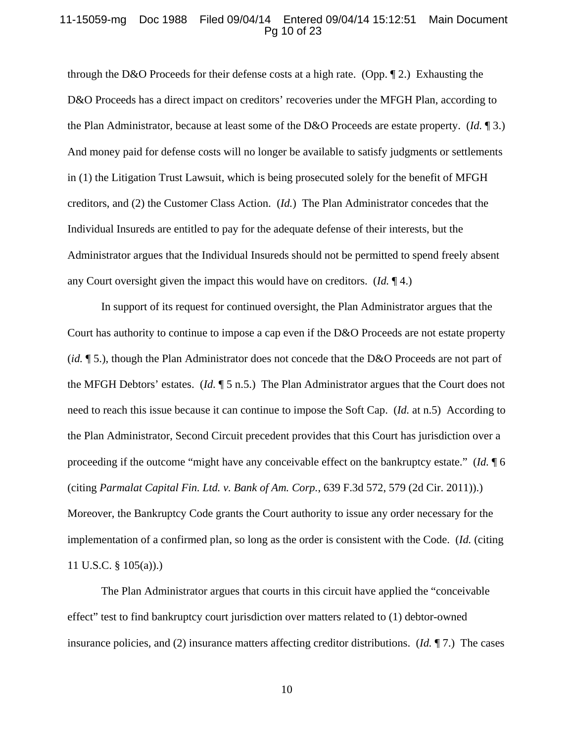#### 11-15059-mg Doc 1988 Filed 09/04/14 Entered 09/04/14 15:12:51 Main Document Pg 10 of 23

through the D&O Proceeds for their defense costs at a high rate. (Opp.  $\P$  2.) Exhausting the D&O Proceeds has a direct impact on creditors' recoveries under the MFGH Plan, according to the Plan Administrator, because at least some of the D&O Proceeds are estate property. (*Id.* ¶ 3.) And money paid for defense costs will no longer be available to satisfy judgments or settlements in (1) the Litigation Trust Lawsuit, which is being prosecuted solely for the benefit of MFGH creditors, and (2) the Customer Class Action. (*Id.*) The Plan Administrator concedes that the Individual Insureds are entitled to pay for the adequate defense of their interests, but the Administrator argues that the Individual Insureds should not be permitted to spend freely absent any Court oversight given the impact this would have on creditors. (*Id.* ¶ 4.)

In support of its request for continued oversight, the Plan Administrator argues that the Court has authority to continue to impose a cap even if the D&O Proceeds are not estate property (*id.* ¶ 5.), though the Plan Administrator does not concede that the D&O Proceeds are not part of the MFGH Debtors' estates. (*Id.* ¶ 5 n.5.) The Plan Administrator argues that the Court does not need to reach this issue because it can continue to impose the Soft Cap. (*Id.* at n.5) According to the Plan Administrator, Second Circuit precedent provides that this Court has jurisdiction over a proceeding if the outcome "might have any conceivable effect on the bankruptcy estate." (*Id.* ¶ 6 (citing *Parmalat Capital Fin. Ltd. v. Bank of Am. Corp.*, 639 F.3d 572, 579 (2d Cir. 2011)).) Moreover, the Bankruptcy Code grants the Court authority to issue any order necessary for the implementation of a confirmed plan, so long as the order is consistent with the Code. (*Id.* (citing 11 U.S.C. § 105(a)).)

The Plan Administrator argues that courts in this circuit have applied the "conceivable effect" test to find bankruptcy court jurisdiction over matters related to (1) debtor-owned insurance policies, and (2) insurance matters affecting creditor distributions. (*Id.* ¶ 7.) The cases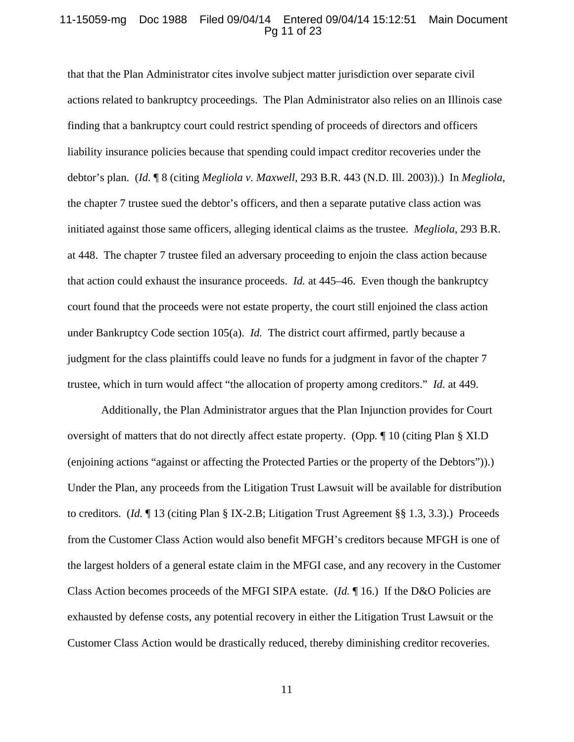#### 11-15059-mg Doc 1988 Filed 09/04/14 Entered 09/04/14 15:12:51 Main Document Pg 11 of 23

that that the Plan Administrator cites involve subject matter jurisdiction over separate civil actions related to bankruptcy proceedings. The Plan Administrator also relies on an Illinois case finding that a bankruptcy court could restrict spending of proceeds of directors and officers liability insurance policies because that spending could impact creditor recoveries under the debtor's plan. (*Id.* ¶ 8 (citing *Megliola v. Maxwell*, 293 B.R. 443 (N.D. Ill. 2003)).) In *Megliola*, the chapter 7 trustee sued the debtor's officers, and then a separate putative class action was initiated against those same officers, alleging identical claims as the trustee. *Megliola*, 293 B.R. at 448. The chapter 7 trustee filed an adversary proceeding to enjoin the class action because that action could exhaust the insurance proceeds. *Id.* at 445–46. Even though the bankruptcy court found that the proceeds were not estate property, the court still enjoined the class action under Bankruptcy Code section 105(a). *Id.* The district court affirmed, partly because a judgment for the class plaintiffs could leave no funds for a judgment in favor of the chapter 7 trustee, which in turn would affect "the allocation of property among creditors." *Id.* at 449.

Additionally, the Plan Administrator argues that the Plan Injunction provides for Court oversight of matters that do not directly affect estate property. (Opp*.* ¶ 10 (citing Plan § XI.D (enjoining actions "against or affecting the Protected Parties or the property of the Debtors")).) Under the Plan, any proceeds from the Litigation Trust Lawsuit will be available for distribution to creditors. (*Id.* ¶ 13 (citing Plan § IX-2.B; Litigation Trust Agreement §§ 1.3, 3.3).) Proceeds from the Customer Class Action would also benefit MFGH's creditors because MFGH is one of the largest holders of a general estate claim in the MFGI case, and any recovery in the Customer Class Action becomes proceeds of the MFGI SIPA estate. (*Id.* ¶ 16.) If the D&O Policies are exhausted by defense costs, any potential recovery in either the Litigation Trust Lawsuit or the Customer Class Action would be drastically reduced, thereby diminishing creditor recoveries.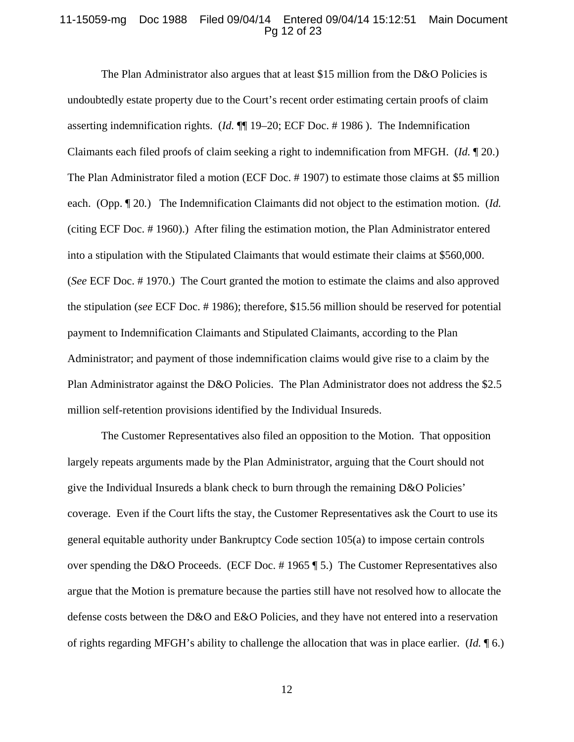#### 11-15059-mg Doc 1988 Filed 09/04/14 Entered 09/04/14 15:12:51 Main Document Pg 12 of 23

The Plan Administrator also argues that at least \$15 million from the D&O Policies is undoubtedly estate property due to the Court's recent order estimating certain proofs of claim asserting indemnification rights. (*Id.* ¶¶ 19–20; ECF Doc. # 1986 ). The Indemnification Claimants each filed proofs of claim seeking a right to indemnification from MFGH. (*Id.* ¶ 20.) The Plan Administrator filed a motion (ECF Doc. # 1907) to estimate those claims at \$5 million each. (Opp. ¶ 20*.*) The Indemnification Claimants did not object to the estimation motion. (*Id.*  (citing ECF Doc. # 1960).) After filing the estimation motion, the Plan Administrator entered into a stipulation with the Stipulated Claimants that would estimate their claims at \$560,000. (*See* ECF Doc. # 1970.) The Court granted the motion to estimate the claims and also approved the stipulation (*see* ECF Doc. # 1986); therefore, \$15.56 million should be reserved for potential payment to Indemnification Claimants and Stipulated Claimants, according to the Plan Administrator; and payment of those indemnification claims would give rise to a claim by the Plan Administrator against the D&O Policies. The Plan Administrator does not address the \$2.5 million self-retention provisions identified by the Individual Insureds.

The Customer Representatives also filed an opposition to the Motion. That opposition largely repeats arguments made by the Plan Administrator, arguing that the Court should not give the Individual Insureds a blank check to burn through the remaining D&O Policies' coverage. Even if the Court lifts the stay, the Customer Representatives ask the Court to use its general equitable authority under Bankruptcy Code section 105(a) to impose certain controls over spending the D&O Proceeds. (ECF Doc. # 1965 ¶ 5.) The Customer Representatives also argue that the Motion is premature because the parties still have not resolved how to allocate the defense costs between the D&O and E&O Policies, and they have not entered into a reservation of rights regarding MFGH's ability to challenge the allocation that was in place earlier. (*Id.* ¶ 6.)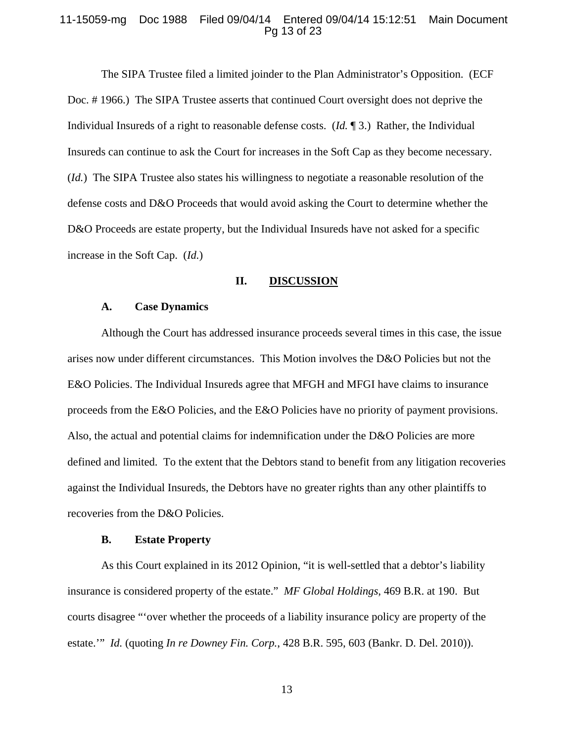#### 11-15059-mg Doc 1988 Filed 09/04/14 Entered 09/04/14 15:12:51 Main Document Pg 13 of 23

The SIPA Trustee filed a limited joinder to the Plan Administrator's Opposition. (ECF Doc. # 1966.) The SIPA Trustee asserts that continued Court oversight does not deprive the Individual Insureds of a right to reasonable defense costs. (*Id.* ¶ 3.) Rather, the Individual Insureds can continue to ask the Court for increases in the Soft Cap as they become necessary. (*Id.*) The SIPA Trustee also states his willingness to negotiate a reasonable resolution of the defense costs and D&O Proceeds that would avoid asking the Court to determine whether the D&O Proceeds are estate property, but the Individual Insureds have not asked for a specific increase in the Soft Cap. (*Id.*)

#### **II. DISCUSSION**

#### **A. Case Dynamics**

Although the Court has addressed insurance proceeds several times in this case, the issue arises now under different circumstances. This Motion involves the D&O Policies but not the E&O Policies. The Individual Insureds agree that MFGH and MFGI have claims to insurance proceeds from the E&O Policies, and the E&O Policies have no priority of payment provisions. Also, the actual and potential claims for indemnification under the D&O Policies are more defined and limited. To the extent that the Debtors stand to benefit from any litigation recoveries against the Individual Insureds, the Debtors have no greater rights than any other plaintiffs to recoveries from the D&O Policies.

#### **B. Estate Property**

As this Court explained in its 2012 Opinion, "it is well-settled that a debtor's liability insurance is considered property of the estate." *MF Global Holdings*, 469 B.R. at 190. But courts disagree "'over whether the proceeds of a liability insurance policy are property of the estate.'" *Id.* (quoting *In re Downey Fin. Corp.*, 428 B.R. 595, 603 (Bankr. D. Del. 2010)).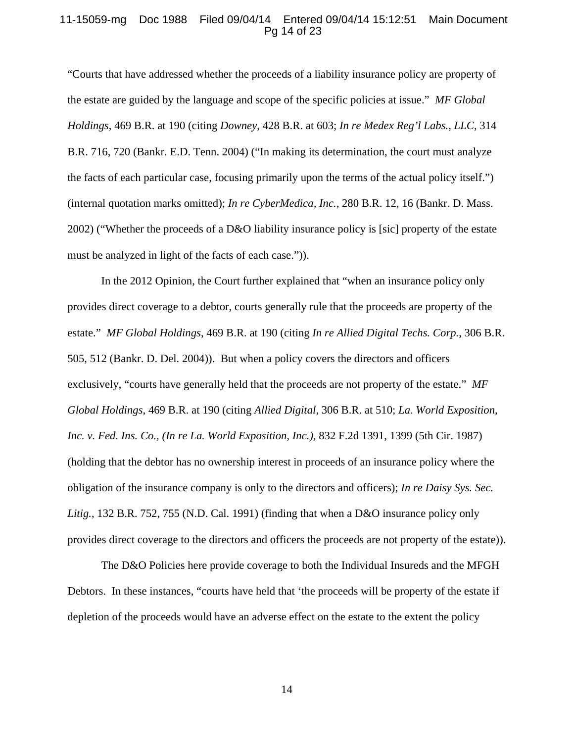### 11-15059-mg Doc 1988 Filed 09/04/14 Entered 09/04/14 15:12:51 Main Document Pg 14 of 23

"Courts that have addressed whether the proceeds of a liability insurance policy are property of the estate are guided by the language and scope of the specific policies at issue." *MF Global Holdings*, 469 B.R. at 190 (citing *Downey*, 428 B.R. at 603; *In re Medex Reg'l Labs., LLC*, 314 B.R. 716, 720 (Bankr. E.D. Tenn. 2004) ("In making its determination, the court must analyze the facts of each particular case, focusing primarily upon the terms of the actual policy itself.") (internal quotation marks omitted); *In re CyberMedica, Inc.*, 280 B.R. 12, 16 (Bankr. D. Mass. 2002) ("Whether the proceeds of a D&O liability insurance policy is [sic] property of the estate must be analyzed in light of the facts of each case.")).

In the 2012 Opinion, the Court further explained that "when an insurance policy only provides direct coverage to a debtor, courts generally rule that the proceeds are property of the estate." *MF Global Holdings*, 469 B.R. at 190 (citing *In re Allied Digital Techs. Corp.*, 306 B.R. 505, 512 (Bankr. D. Del. 2004)). But when a policy covers the directors and officers exclusively, "courts have generally held that the proceeds are not property of the estate." *MF Global Holdings*, 469 B.R. at 190 (citing *Allied Digital*, 306 B.R. at 510; *La. World Exposition, Inc. v. Fed. Ins. Co., (In re La. World Exposition, Inc.)*, 832 F.2d 1391, 1399 (5th Cir. 1987) (holding that the debtor has no ownership interest in proceeds of an insurance policy where the obligation of the insurance company is only to the directors and officers); *In re Daisy Sys. Sec. Litig.*, 132 B.R. 752, 755 (N.D. Cal. 1991) (finding that when a D&O insurance policy only provides direct coverage to the directors and officers the proceeds are not property of the estate)).

The D&O Policies here provide coverage to both the Individual Insureds and the MFGH Debtors. In these instances, "courts have held that 'the proceeds will be property of the estate if depletion of the proceeds would have an adverse effect on the estate to the extent the policy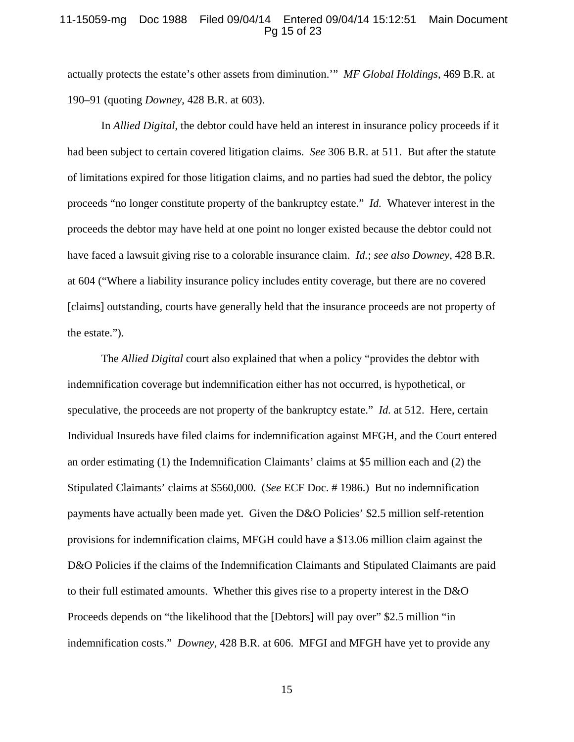#### 11-15059-mg Doc 1988 Filed 09/04/14 Entered 09/04/14 15:12:51 Main Document Pg 15 of 23

actually protects the estate's other assets from diminution.'" *MF Global Holdings*, 469 B.R. at 190–91 (quoting *Downey*, 428 B.R. at 603).

In *Allied Digital*, the debtor could have held an interest in insurance policy proceeds if it had been subject to certain covered litigation claims. *See* 306 B.R. at 511. But after the statute of limitations expired for those litigation claims, and no parties had sued the debtor, the policy proceeds "no longer constitute property of the bankruptcy estate." *Id.* Whatever interest in the proceeds the debtor may have held at one point no longer existed because the debtor could not have faced a lawsuit giving rise to a colorable insurance claim. *Id.*; *see also Downey*, 428 B.R. at 604 ("Where a liability insurance policy includes entity coverage, but there are no covered [claims] outstanding, courts have generally held that the insurance proceeds are not property of the estate.").

The *Allied Digital* court also explained that when a policy "provides the debtor with indemnification coverage but indemnification either has not occurred, is hypothetical, or speculative, the proceeds are not property of the bankruptcy estate." *Id.* at 512. Here, certain Individual Insureds have filed claims for indemnification against MFGH, and the Court entered an order estimating (1) the Indemnification Claimants' claims at \$5 million each and (2) the Stipulated Claimants' claims at \$560,000. (*See* ECF Doc. # 1986.) But no indemnification payments have actually been made yet. Given the D&O Policies' \$2.5 million self-retention provisions for indemnification claims, MFGH could have a \$13.06 million claim against the D&O Policies if the claims of the Indemnification Claimants and Stipulated Claimants are paid to their full estimated amounts. Whether this gives rise to a property interest in the D&O Proceeds depends on "the likelihood that the [Debtors] will pay over" \$2.5 million "in indemnification costs." *Downey*, 428 B.R. at 606. MFGI and MFGH have yet to provide any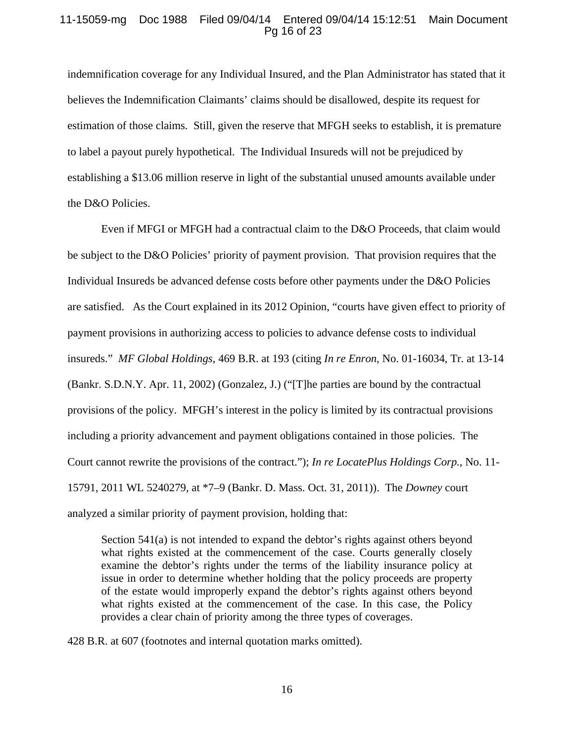## 11-15059-mg Doc 1988 Filed 09/04/14 Entered 09/04/14 15:12:51 Main Document Pg 16 of 23

indemnification coverage for any Individual Insured, and the Plan Administrator has stated that it believes the Indemnification Claimants' claims should be disallowed, despite its request for estimation of those claims. Still, given the reserve that MFGH seeks to establish, it is premature to label a payout purely hypothetical. The Individual Insureds will not be prejudiced by establishing a \$13.06 million reserve in light of the substantial unused amounts available under the D&O Policies.

Even if MFGI or MFGH had a contractual claim to the D&O Proceeds, that claim would be subject to the D&O Policies' priority of payment provision. That provision requires that the Individual Insureds be advanced defense costs before other payments under the D&O Policies are satisfied. As the Court explained in its 2012 Opinion, "courts have given effect to priority of payment provisions in authorizing access to policies to advance defense costs to individual insureds." *MF Global Holdings*, 469 B.R. at 193 (citing *In re Enron*, No. 01-16034, Tr. at 13-14 (Bankr. S.D.N.Y. Apr. 11, 2002) (Gonzalez, J.) ("[T]he parties are bound by the contractual provisions of the policy. MFGH's interest in the policy is limited by its contractual provisions including a priority advancement and payment obligations contained in those policies. The Court cannot rewrite the provisions of the contract."); *In re LocatePlus Holdings Corp.*, No. 11- 15791, 2011 WL 5240279, at \*7–9 (Bankr. D. Mass. Oct. 31, 2011)). The *Downey* court analyzed a similar priority of payment provision, holding that:

Section 541(a) is not intended to expand the debtor's rights against others beyond what rights existed at the commencement of the case. Courts generally closely examine the debtor's rights under the terms of the liability insurance policy at issue in order to determine whether holding that the policy proceeds are property of the estate would improperly expand the debtor's rights against others beyond what rights existed at the commencement of the case. In this case, the Policy provides a clear chain of priority among the three types of coverages.

428 B.R. at 607 (footnotes and internal quotation marks omitted).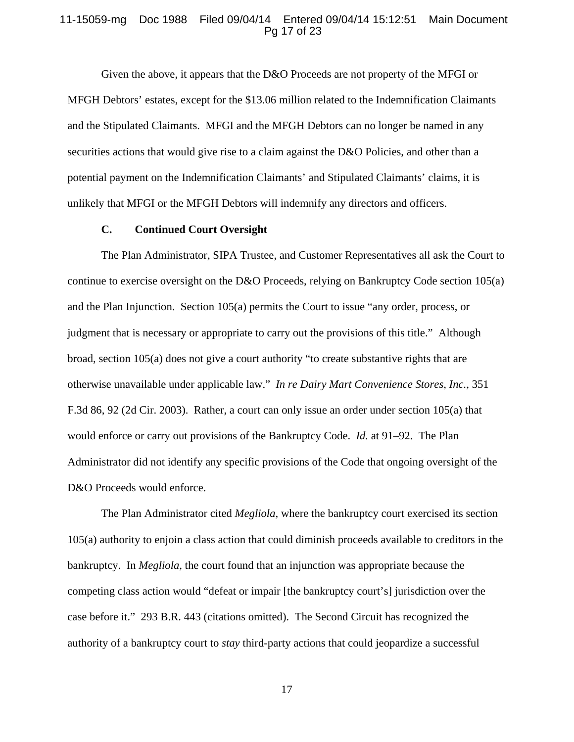#### 11-15059-mg Doc 1988 Filed 09/04/14 Entered 09/04/14 15:12:51 Main Document Pg 17 of 23

Given the above, it appears that the D&O Proceeds are not property of the MFGI or MFGH Debtors' estates, except for the \$13.06 million related to the Indemnification Claimants and the Stipulated Claimants. MFGI and the MFGH Debtors can no longer be named in any securities actions that would give rise to a claim against the D&O Policies, and other than a potential payment on the Indemnification Claimants' and Stipulated Claimants' claims, it is unlikely that MFGI or the MFGH Debtors will indemnify any directors and officers.

## **C. Continued Court Oversight**

The Plan Administrator, SIPA Trustee, and Customer Representatives all ask the Court to continue to exercise oversight on the D&O Proceeds, relying on Bankruptcy Code section 105(a) and the Plan Injunction. Section 105(a) permits the Court to issue "any order, process, or judgment that is necessary or appropriate to carry out the provisions of this title." Although broad, section 105(a) does not give a court authority "to create substantive rights that are otherwise unavailable under applicable law." *In re Dairy Mart Convenience Stores, Inc.*, 351 F.3d 86, 92 (2d Cir. 2003). Rather, a court can only issue an order under section 105(a) that would enforce or carry out provisions of the Bankruptcy Code. *Id.* at 91–92. The Plan Administrator did not identify any specific provisions of the Code that ongoing oversight of the D&O Proceeds would enforce.

The Plan Administrator cited *Megliola*, where the bankruptcy court exercised its section 105(a) authority to enjoin a class action that could diminish proceeds available to creditors in the bankruptcy. In *Megliola*, the court found that an injunction was appropriate because the competing class action would "defeat or impair [the bankruptcy court's] jurisdiction over the case before it." 293 B.R. 443 (citations omitted). The Second Circuit has recognized the authority of a bankruptcy court to *stay* third-party actions that could jeopardize a successful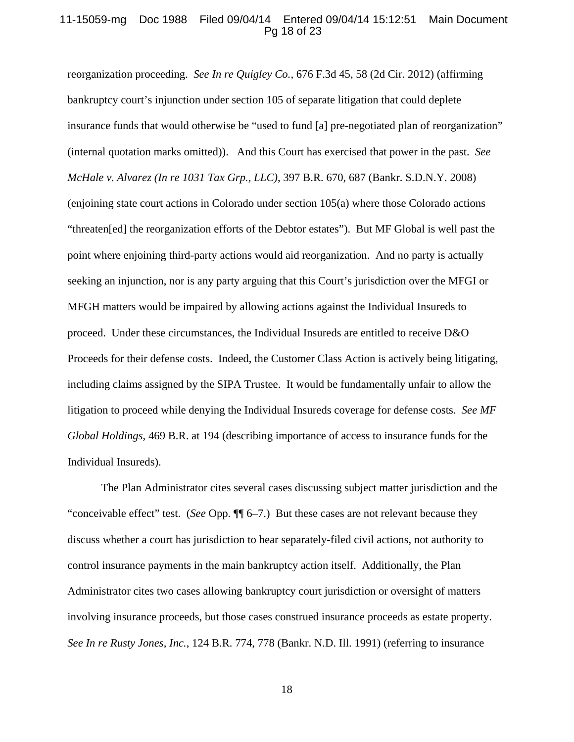## 11-15059-mg Doc 1988 Filed 09/04/14 Entered 09/04/14 15:12:51 Main Document Pg 18 of 23

reorganization proceeding. *See In re Quigley Co.*, 676 F.3d 45, 58 (2d Cir. 2012) (affirming bankruptcy court's injunction under section 105 of separate litigation that could deplete insurance funds that would otherwise be "used to fund [a] pre-negotiated plan of reorganization" (internal quotation marks omitted)). And this Court has exercised that power in the past. *See McHale v. Alvarez (In re 1031 Tax Grp., LLC)*, 397 B.R. 670, 687 (Bankr. S.D.N.Y. 2008) (enjoining state court actions in Colorado under section 105(a) where those Colorado actions "threaten[ed] the reorganization efforts of the Debtor estates"). But MF Global is well past the point where enjoining third-party actions would aid reorganization. And no party is actually seeking an injunction, nor is any party arguing that this Court's jurisdiction over the MFGI or MFGH matters would be impaired by allowing actions against the Individual Insureds to proceed. Under these circumstances, the Individual Insureds are entitled to receive D&O Proceeds for their defense costs. Indeed, the Customer Class Action is actively being litigating, including claims assigned by the SIPA Trustee. It would be fundamentally unfair to allow the litigation to proceed while denying the Individual Insureds coverage for defense costs. *See MF Global Holdings*, 469 B.R. at 194 (describing importance of access to insurance funds for the Individual Insureds).

The Plan Administrator cites several cases discussing subject matter jurisdiction and the "conceivable effect" test. (*See* Opp. ¶¶ 6–7.) But these cases are not relevant because they discuss whether a court has jurisdiction to hear separately-filed civil actions, not authority to control insurance payments in the main bankruptcy action itself. Additionally, the Plan Administrator cites two cases allowing bankruptcy court jurisdiction or oversight of matters involving insurance proceeds, but those cases construed insurance proceeds as estate property. *See In re Rusty Jones, Inc.*, 124 B.R. 774, 778 (Bankr. N.D. Ill. 1991) (referring to insurance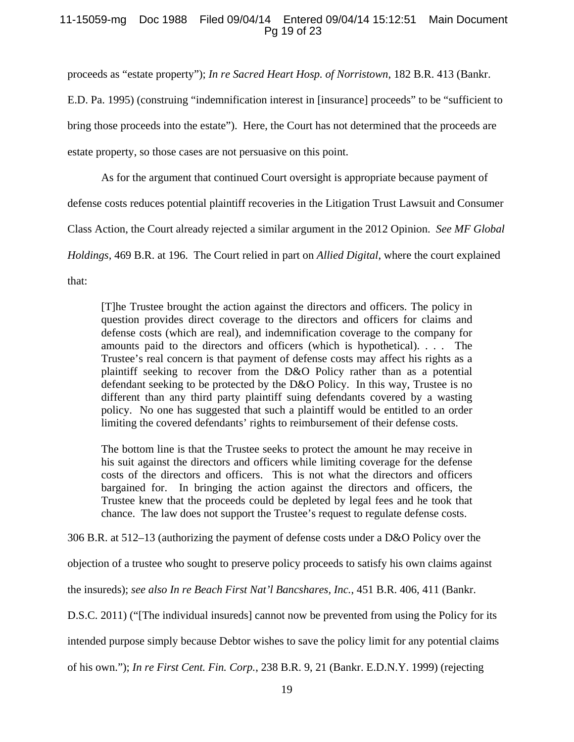## 11-15059-mg Doc 1988 Filed 09/04/14 Entered 09/04/14 15:12:51 Main Document Pg 19 of 23

proceeds as "estate property"); *In re Sacred Heart Hosp. of Norristown*, 182 B.R. 413 (Bankr.

E.D. Pa. 1995) (construing "indemnification interest in [insurance] proceeds" to be "sufficient to bring those proceeds into the estate"). Here, the Court has not determined that the proceeds are estate property, so those cases are not persuasive on this point.

As for the argument that continued Court oversight is appropriate because payment of

defense costs reduces potential plaintiff recoveries in the Litigation Trust Lawsuit and Consumer

Class Action, the Court already rejected a similar argument in the 2012 Opinion. *See MF Global* 

*Holdings,* 469 B.R. at 196. The Court relied in part on *Allied Digital*, where the court explained

that:

[T]he Trustee brought the action against the directors and officers. The policy in question provides direct coverage to the directors and officers for claims and defense costs (which are real), and indemnification coverage to the company for amounts paid to the directors and officers (which is hypothetical). . . . The Trustee's real concern is that payment of defense costs may affect his rights as a plaintiff seeking to recover from the D&O Policy rather than as a potential defendant seeking to be protected by the D&O Policy. In this way, Trustee is no different than any third party plaintiff suing defendants covered by a wasting policy. No one has suggested that such a plaintiff would be entitled to an order limiting the covered defendants' rights to reimbursement of their defense costs.

The bottom line is that the Trustee seeks to protect the amount he may receive in his suit against the directors and officers while limiting coverage for the defense costs of the directors and officers. This is not what the directors and officers bargained for. In bringing the action against the directors and officers, the Trustee knew that the proceeds could be depleted by legal fees and he took that chance. The law does not support the Trustee's request to regulate defense costs.

306 B.R. at 512–13 (authorizing the payment of defense costs under a D&O Policy over the

objection of a trustee who sought to preserve policy proceeds to satisfy his own claims against

the insureds); *see also In re Beach First Nat'l Bancshares, Inc.*, 451 B.R. 406, 411 (Bankr.

D.S.C. 2011) ("[The individual insureds] cannot now be prevented from using the Policy for its

intended purpose simply because Debtor wishes to save the policy limit for any potential claims

of his own."); *In re First Cent. Fin. Corp.*, 238 B.R. 9, 21 (Bankr. E.D.N.Y. 1999) (rejecting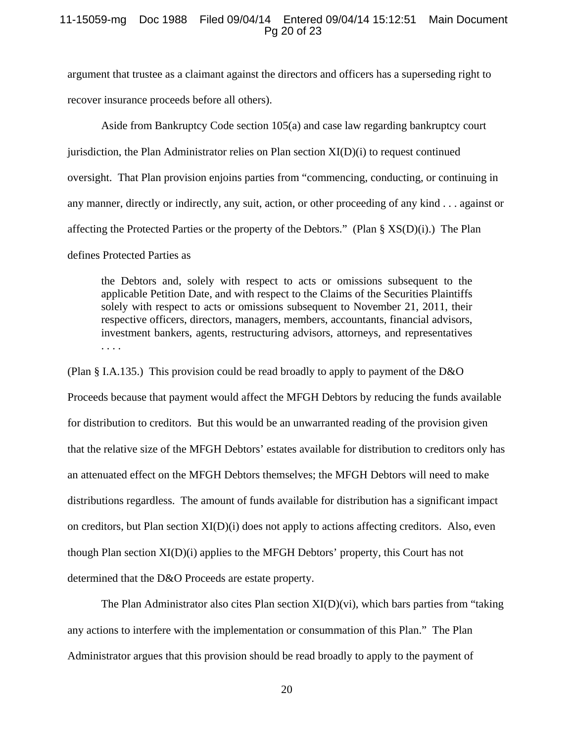### 11-15059-mg Doc 1988 Filed 09/04/14 Entered 09/04/14 15:12:51 Main Document Pg 20 of 23

argument that trustee as a claimant against the directors and officers has a superseding right to recover insurance proceeds before all others).

Aside from Bankruptcy Code section 105(a) and case law regarding bankruptcy court jurisdiction, the Plan Administrator relies on Plan section XI(D)(i) to request continued oversight. That Plan provision enjoins parties from "commencing, conducting, or continuing in any manner, directly or indirectly, any suit, action, or other proceeding of any kind . . . against or affecting the Protected Parties or the property of the Debtors." (Plan §  $XS(D)(i)$ .) The Plan defines Protected Parties as

the Debtors and, solely with respect to acts or omissions subsequent to the applicable Petition Date, and with respect to the Claims of the Securities Plaintiffs solely with respect to acts or omissions subsequent to November 21, 2011, their respective officers, directors, managers, members, accountants, financial advisors, investment bankers, agents, restructuring advisors, attorneys, and representatives . . . .

(Plan § I.A.135.) This provision could be read broadly to apply to payment of the D&O Proceeds because that payment would affect the MFGH Debtors by reducing the funds available for distribution to creditors. But this would be an unwarranted reading of the provision given that the relative size of the MFGH Debtors' estates available for distribution to creditors only has an attenuated effect on the MFGH Debtors themselves; the MFGH Debtors will need to make distributions regardless. The amount of funds available for distribution has a significant impact on creditors, but Plan section  $XI(D)(i)$  does not apply to actions affecting creditors. Also, even though Plan section XI(D)(i) applies to the MFGH Debtors' property, this Court has not determined that the D&O Proceeds are estate property.

The Plan Administrator also cites Plan section  $X(I(D)(vi))$ , which bars parties from "taking" any actions to interfere with the implementation or consummation of this Plan." The Plan Administrator argues that this provision should be read broadly to apply to the payment of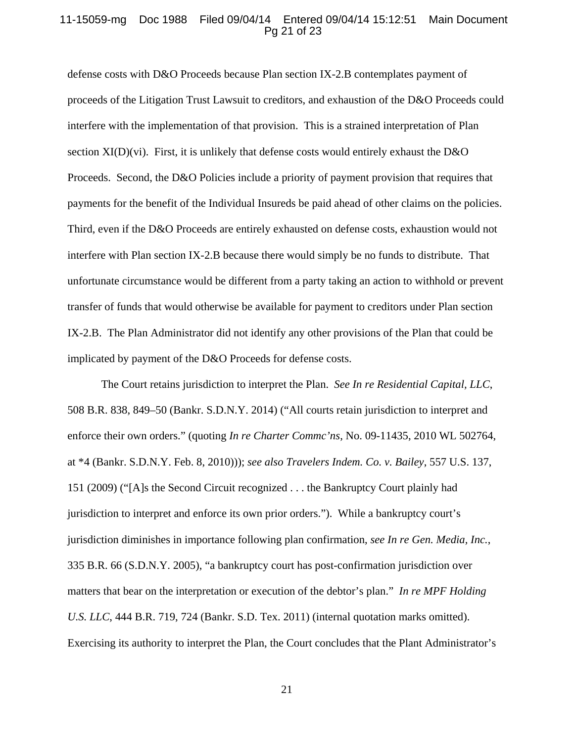## 11-15059-mg Doc 1988 Filed 09/04/14 Entered 09/04/14 15:12:51 Main Document Pg 21 of 23

defense costs with D&O Proceeds because Plan section IX-2.B contemplates payment of proceeds of the Litigation Trust Lawsuit to creditors, and exhaustion of the D&O Proceeds could interfere with the implementation of that provision. This is a strained interpretation of Plan section XI(D)(vi). First, it is unlikely that defense costs would entirely exhaust the D&O Proceeds. Second, the D&O Policies include a priority of payment provision that requires that payments for the benefit of the Individual Insureds be paid ahead of other claims on the policies. Third, even if the D&O Proceeds are entirely exhausted on defense costs, exhaustion would not interfere with Plan section IX-2.B because there would simply be no funds to distribute. That unfortunate circumstance would be different from a party taking an action to withhold or prevent transfer of funds that would otherwise be available for payment to creditors under Plan section IX-2.B. The Plan Administrator did not identify any other provisions of the Plan that could be implicated by payment of the D&O Proceeds for defense costs.

The Court retains jurisdiction to interpret the Plan. *See In re Residential Capital, LLC*, 508 B.R. 838, 849–50 (Bankr. S.D.N.Y. 2014) ("All courts retain jurisdiction to interpret and enforce their own orders." (quoting *In re Charter Commc'ns*, No. 09-11435, 2010 WL 502764, at \*4 (Bankr. S.D.N.Y. Feb. 8, 2010))); *see also Travelers Indem. Co. v. Bailey*, 557 U.S. 137, 151 (2009) ("[A]s the Second Circuit recognized . . . the Bankruptcy Court plainly had jurisdiction to interpret and enforce its own prior orders."). While a bankruptcy court's jurisdiction diminishes in importance following plan confirmation, *see In re Gen. Media, Inc.*, 335 B.R. 66 (S.D.N.Y. 2005), "a bankruptcy court has post-confirmation jurisdiction over matters that bear on the interpretation or execution of the debtor's plan." *In re MPF Holding U.S. LLC*, 444 B.R. 719, 724 (Bankr. S.D. Tex. 2011) (internal quotation marks omitted). Exercising its authority to interpret the Plan, the Court concludes that the Plant Administrator's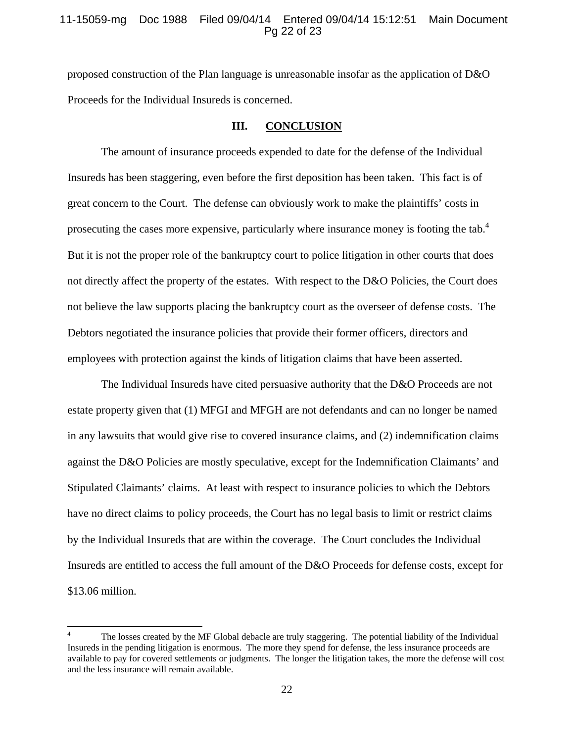### 11-15059-mg Doc 1988 Filed 09/04/14 Entered 09/04/14 15:12:51 Main Document Pg 22 of 23

proposed construction of the Plan language is unreasonable insofar as the application of D&O Proceeds for the Individual Insureds is concerned.

#### **III. CONCLUSION**

The amount of insurance proceeds expended to date for the defense of the Individual Insureds has been staggering, even before the first deposition has been taken. This fact is of great concern to the Court. The defense can obviously work to make the plaintiffs' costs in prosecuting the cases more expensive, particularly where insurance money is footing the tab.<sup>4</sup> But it is not the proper role of the bankruptcy court to police litigation in other courts that does not directly affect the property of the estates. With respect to the D&O Policies, the Court does not believe the law supports placing the bankruptcy court as the overseer of defense costs. The Debtors negotiated the insurance policies that provide their former officers, directors and employees with protection against the kinds of litigation claims that have been asserted.

The Individual Insureds have cited persuasive authority that the D&O Proceeds are not estate property given that (1) MFGI and MFGH are not defendants and can no longer be named in any lawsuits that would give rise to covered insurance claims, and (2) indemnification claims against the D&O Policies are mostly speculative, except for the Indemnification Claimants' and Stipulated Claimants' claims. At least with respect to insurance policies to which the Debtors have no direct claims to policy proceeds, the Court has no legal basis to limit or restrict claims by the Individual Insureds that are within the coverage. The Court concludes the Individual Insureds are entitled to access the full amount of the D&O Proceeds for defense costs, except for \$13.06 million.

<sup>4</sup> The losses created by the MF Global debacle are truly staggering. The potential liability of the Individual Insureds in the pending litigation is enormous. The more they spend for defense, the less insurance proceeds are available to pay for covered settlements or judgments. The longer the litigation takes, the more the defense will cost and the less insurance will remain available.